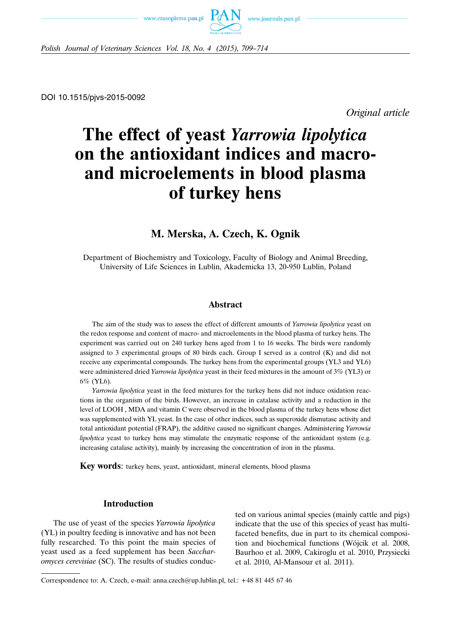



*Polish Journal of Veterinary Sciences Vol. 18, No. 4 (2015), 709–714*

DOI 10.1515/pjvs-2015-0092

*Original article*

# **The effect of yeast** *Yarrowia lipolytica* **on the antioxidant indices and macroand microelements in blood plasma of turkey hens**

# **M. Merska, A. Czech, K. Ognik**

Department of Biochemistry and Toxicology, Faculty of Biology and Animal Breeding, University of Life Sciences in Lublin, Akademicka 13, 20-950 Lublin, Poland

#### **Abstract**

The aim of the study was to assess the effect of different amounts of *Yarrowia lipolytica* yeast on the redox response and content of macro- and microelements in the blood plasma of turkey hens. The experiment was carried out on 240 turkey hens aged from 1 to 16 weeks. The birds were randomly assigned to 3 experimental groups of 80 birds each. Group I served as a control (K) and did not receive any experimental compounds. The turkey hens from the experimental groups (YL3 and YL6) were administered dried *Yarrowia lipolytica* yeast in their feed mixtures in the amount of 3% (YL3) or 6% (YL6).

*Yarrowia lipolytica* yeast in the feed mixtures for the turkey hens did not induce oxidation reactions in the organism of the birds. However, an increase in catalase activity and a reduction in the level of LOOH , MDA and vitamin C were observed in the blood plasma of the turkey hens whose diet was supplemented with YL yeast. In the case of other indices, such as superoxide dismutase activity and total antioxidant potential (FRAP), the additive caused no significant changes. Administering *Yarrowia lipolytica* yeast to turkey hens may stimulate the enzymatic response of the antioxidant system (e.g. increasing catalase activity), mainly by increasing the concentration of iron in the plasma.

**Key words**: turkey hens, yeast, antioxidant, mineral elements, blood plasma

#### **Introduction**

The use of yeast of the species *Yarrowia lipolytica* (YL) in poultry feeding is innovative and has not been fully researched. To this point the main species of yeast used as a feed supplement has been *Saccharomyces cerevisiae* (SC). The results of studies conducted on various animal species (mainly cattle and pigs) indicate that the use of this species of yeast has multifaceted benefits, due in part to its chemical composition and biochemical functions (Wójcik et al. 2008, Baurhoo et al. 2009, Cakiroglu et al. 2010, Przysiecki et al. 2010, Al-Mansour et al. 2011).

Correspondence to: A. Czech, e-mail: anna.czech@up.lublin.pl, tel.: +48 81 445 67 46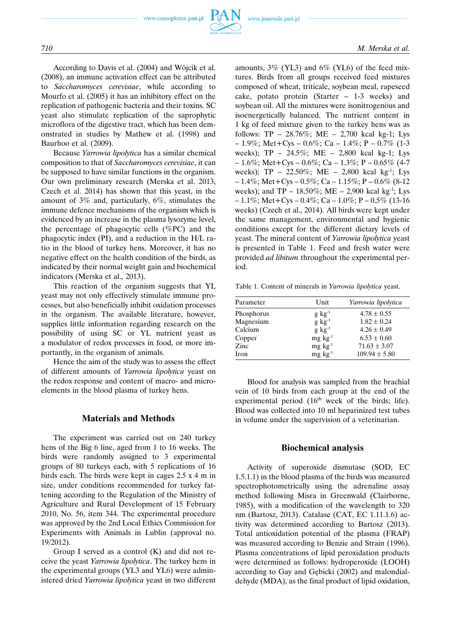

According to Davis et al. (2004) and Wójcik et al. (2008), an immune activation effect can be attributed to *Saccharomyces cerevisiae*, while according to Mourfo et al. (2005) it has an inhibitory effect on the replication of pathogenic bacteria and their toxins. SC yeast also stimulate replication of the saprophytic microflora of the digestive tract, which has been demonstrated in studies by Mathew et al. (1998) and Baurhoo et al. (2009).

Because *Yarrowia lipolytica* has a similar chemical composition to that of *Saccharomyces cerevisiae*, it can be supposed to have similar functions in the organism. Our own preliminary research (Merska et al. 2013, Czech et al. 2014) has shown that this yeast, in the amount of 3% and, particularly, 6%, stimulates the immune defence mechanisms of the organism which is evidenced by an increase in the plasma lysozyme level, the percentage of phagocytic cells (%PC) and the phagocytic index (PI), and a reduction in the H/L ratio in the blood of turkey hens. Moreover, it has no negative effect on the health condition of the birds, as indicated by their normal weight gain and biochemical indicators (Merska et al., 2013).

This reaction of the organism suggests that YL yeast may not only effectively stimulate immune processes, but also beneficially inhibit oxidation processes in the organism. The available literature, however, supplies little information regarding research on the possibility of using SC or YL nutrient yeast as a modulator of redox processes in food, or more importantly, in the organism of animals.

Hence the aim of the study was to assess the effect of different amounts of *Yarrowia lipolytica* yeast on the redox response and content of macro- and microelements in the blood plasma of turkey hens.

#### **Materials and Methods**

The experiment was carried out on 240 turkey hens of the Big 6 line, aged from 1 to 16 weeks. The birds were randomly assigned to 3 experimental groups of 80 turkeys each, with 5 replications of 16 birds each. The birds were kept in cages 2.5 x 4 m in size, under conditions recommended for turkey fattening according to the Regulation of the Ministry of Agriculture and Rural Development of 15 February 2010, No. 56, item 344. The experimental procedure was approved by the 2nd Local Ethics Commission for Experiments with Animals in Lublin (approval no. 19/2012).

Group I served as a control (K) and did not receive the yeast *Yarrowia lipolytica*. The turkey hens in the experimental groups (YL3 and YL6) were administered dried *Yarrowia lipolytica* yeast in two different amounts, 3% (YL3) and 6% (YL6) of the feed mixtures. Birds from all groups received feed mixtures composed of wheat, triticale, soybean meal, rapeseed cake, potato protein (Starter – 1-3 weeks) and soybean oil. All the mixtures were isonitrogenous and isoenergetically balanced. The nutrient content in 1 kg of feed mixture given to the turkey hens was as follows: TP – 28.76%; ME – 2,700 kcal kg-1; Lys  $-1.9\%$ ; Met+Cys – 0.6%; Ca – 1.4%; P – 0.7% (1-3) weeks); TP – 24.5%; ME – 2,800 kcal kg-1; Lys  $-1.6\%$ ; Met + Cys – 0.6%; Ca – 1.3%; P – 0.65% (4-7) weeks);  $TP - 22.50\%$ ;  $ME - 2,800$  kcal kg<sup>-1</sup>; Lys  $-1.4\%$ ; Met + Cys – 0.5%; Ca – 1.15%; P – 0.6% (8-12) weeks); and TP – 18.50%; ME – 2,900 kcal kg<sup>-1</sup>; Lys  $-1.1\%$ ; Met+Cys – 0.4%; Ca – 1.0%; P – 0.5% (13-16) weeks) (Czech et al., 2014). All birds were kept under the same management, environmental and hygienic conditions except for the different dietary levels of yeast. The mineral content of *Yarrowia lipolytica* yeast is presented in Table 1. Feed and fresh water were provided *ad libitum* throughout the experimental period.

Table 1. Content of minerals in *Yarrowia lipolytica* yeast.

| Parameter  | Unit                | Yarrowia lipolytica |  |
|------------|---------------------|---------------------|--|
| Phosphorus | $g \text{ kg}^{-1}$ | $4.78 \pm 0.55$     |  |
| Magnesium  | $g \text{ kg}^{-1}$ | $1.82 \pm 0.24$     |  |
| Calcium    | $g \text{ kg}^{-1}$ | $4.26 \pm 0.49$     |  |
| Copper     | $mg \, kg^{-1}$     | $6.53 \pm 0.60$     |  |
| Zinc       | $mg \, kg^{-1}$     | $71.63 \pm 3.07$    |  |
| Iron       | $mg \, kg^{-1}$     | $109.94 \pm 5.80$   |  |
|            |                     |                     |  |

Blood for analysis was sampled from the brachial vein of 10 birds from each group at the end of the experimental period (16<sup>th</sup> week of the birds; life). Blood was collected into 10 ml heparinized test tubes in volume under the supervision of a veterinarian.

#### **Biochemical analysis**

Activity of superoxide dismutase (SOD, EC 1.5.1.1) in the blood plasma of the birds was measured spectrophotometrically using the adrenaline assay method following Misra in Greenwald (Clairborne, 1985), with a modification of the wavelength to 320 nm (Bartosz, 2013). Catalase (CAT, EC 1.11.1.6) activity was determined according to Bartosz (2013). Total antioxidation potential of the plasma (FRAP) was measured according to Benzie and Strain (1996). Plasma concentrations of lipid peroxidation products were determined as follows: hydroperoxide (LOOH) according to Gay and Gębicki (2002) and malondialdehyde (MDA), as the final product of lipid oxidation,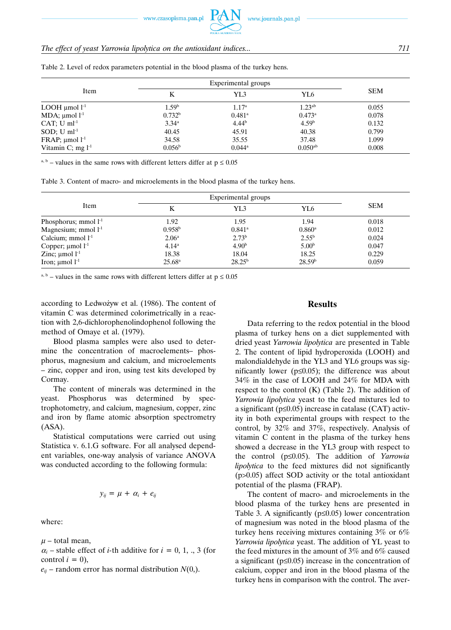www.czasopisma.pan.pl

# *The effect of yeast Yarrowia lipolytica on the antioxidant indices... 711*

| Item                      | Experimental groups |                      |                    |            |
|---------------------------|---------------------|----------------------|--------------------|------------|
|                           | Κ                   | YL3                  | YL6                | <b>SEM</b> |
| LOOH $\mu$ mol $l^{-1}$   | 1.59 <sup>b</sup>   | 1.17 <sup>a</sup>    | 1.23 <sup>ab</sup> | 0.055      |
| MDA; $\mu$ mol $l^{-1}$   | 0.732 <sup>b</sup>  | $0.481$ <sup>a</sup> | $0.473^{\rm a}$    | 0.078      |
| CAT; $U$ ml <sup>-1</sup> | $3.34^{\rm a}$      | $4.44^{b}$           | 4.59 <sup>b</sup>  | 0.132      |
| SOD; $U$ ml <sup>-1</sup> | 40.45               | 45.91                | 40.38              | 0.799      |
| FRAP; $\mu$ mol $l^1$     | 34.58               | 35.55                | 37.48              | 1.099      |
| Vitamin C; mg $l^{-1}$    | 0.056 <sup>b</sup>  | $0.044^{\rm a}$      | $0.050^{ab}$       | 0.008      |

Table 2. Level of redox parameters potential in the blood plasma of the turkey hens.

<sup>a, b</sup> – values in the same rows with different letters differ at  $p \le 0.05$ 

Table 3. Content of macro- and microelements in the blood plasma of the turkey hens.

| Item                       | Experimental groups |                   |                      |            |
|----------------------------|---------------------|-------------------|----------------------|------------|
|                            | Κ                   | YL3               | YL6                  | <b>SEM</b> |
| Phosphorus; mmol $l-1$     | 1.92                | 1.95              | 1.94                 | 0.018      |
| Magnesium; mmol $l-1$      | $0.958^{\rm b}$     | $0.841^{\circ}$   | $0.860$ <sup>a</sup> | 0.012      |
| Calcium; mmol $l-1$        | 2.06 <sup>a</sup>   | 2.73 <sup>b</sup> | $2.55^{b}$           | 0.024      |
| Copper; $\mu$ mol $l^{-1}$ | 4.14 <sup>a</sup>   | 4.90 <sup>b</sup> | 5.00 <sup>b</sup>    | 0.047      |
| Zinc; $\mu$ mol $l^{-1}$   | 18.38               | 18.04             | 18.25                | 0.229      |
| Iron; $\mu$ mol $l^{-1}$   | $25.68^{\rm a}$     | $28.25^{b}$       | 28.59 <sup>b</sup>   | 0.059      |

<sup>a, b</sup> – values in the same rows with different letters differ at  $p \le 0.05$ 

according to Ledwożyw et al. (1986). The content of vitamin C was determined colorimetrically in a reaction with 2,6-dichlorophenolindophenol following the method of Omaye et al. (1979).

Blood plasma samples were also used to determine the concentration of macroelements– phosphorus, magnesium and calcium, and microelements – zinc, copper and iron, using test kits developed by Cormay.

The content of minerals was determined in the yeast. Phosphorus was determined by spectrophotometry, and calcium, magnesium, copper, zinc and iron by flame atomic absorption spectrometry (ASA).

Statistical computations were carried out using Statistica v. 6.1.G software. For all analysed dependent variables, one-way analysis of variance ANOVA was conducted according to the following formula:

$$
y_{ij} = \mu + \alpha_i + e_{ij}
$$

where:

 $\mu$  – total mean,

 $\alpha_i$  – stable effect of *i*-th additive for  $i = 0, 1, ...$  3 (for control  $i = 0$ ),

 $e_{ij}$  – random error has normal distribution  $N(0)$ .

#### **Results**

Data referring to the redox potential in the blood plasma of turkey hens on a diet supplemented with dried yeast *Yarrowia lipolytica* are presented in Table 2. The content of lipid hydroperoxida (LOOH) and malondialdehyde in the YL3 and YL6 groups was significantly lower ( $p \le 0.05$ ); the difference was about 34% in the case of LOOH and 24% for MDA with respect to the control  $(K)$  (Table 2). The addition of *Yarrowia lipolytica* yeast to the feed mixtures led to a significant (p≤0.05) increase in catalase (CAT) activity in both experimental groups with respect to the control, by 32% and 37%, respectively. Analysis of vitamin C content in the plasma of the turkey hens showed a decrease in the YL3 group with respect to the control (p≤0.05). The addition of *Yarrowia lipolytica* to the feed mixtures did not significantly (p>0.05) affect SOD activity or the total antioxidant potential of the plasma (FRAP).

The content of macro- and microelements in the blood plasma of the turkey hens are presented in Table 3. A significantly (p≤0.05) lower concentration of magnesium was noted in the blood plasma of the turkey hens receiving mixtures containing 3% or 6% *Yarrowia lipolytica* yeast. The addition of YL yeast to the feed mixtures in the amount of 3% and 6% caused a significant (p≤0.05) increase in the concentration of calcium, copper and iron in the blood plasma of the turkey hens in comparison with the control. The aver-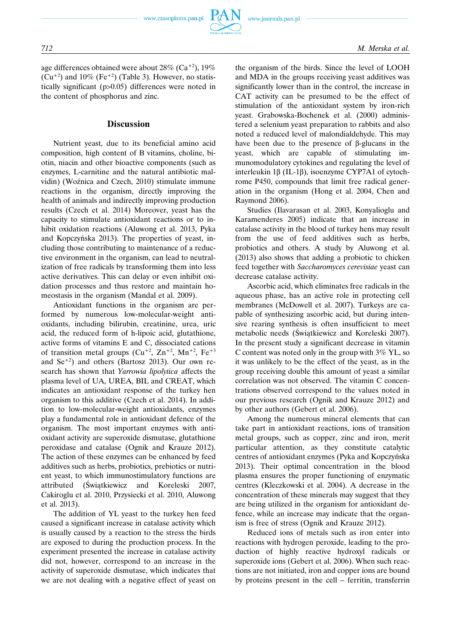

age differences obtained were about  $28\%$  (Ca<sup>+2</sup>), 19%  $(Cu^{+2})$  and  $10\%$  (Fe<sup>+2</sup>) (Table 3). However, no statistically significant (p>0.05) differences were noted in the content of phosphorus and zinc.

### **Discussion**

Nutrient yeast, due to its beneficial amino acid composition, high content of B vitamins, choline, biotin, niacin and other bioactive components (such as enzymes, L-carnitine and the natural antibiotic malvidin) (Woźnica and Czech, 2010) stimulate immune reactions in the organism, directly improving the health of animals and indirectly improving production results (Czech et al. 2014) Moreover, yeast has the capacity to stimulate antioxidant reactions or to inhibit oxidation reactions (Aluwong et al. 2013, Pyka and Kopczyńska 2013). The properties of yeast, including those contributing to maintenance of a reductive environment in the organism, can lead to neutralization of free radicals by transforming them into less active derivatives. This can delay or even inhibit oxidation processes and thus restore and maintain homeostasis in the organism (Mandal et al. 2009).

Antioxidant functions in the organism are performed by numerous low-molecular-weight antioxidants, including bilirubin, creatinine, urea, uric acid, the reduced form of h-lipoic acid, glutathione, active forms of vitamins E and C, dissociated cations of transition metal groups  $(Cu^{+2}, Zn^{+2}, Mn^{+2}, Fe^{+3})$ and  $\text{Se}^{+2}$ ) and others (Bartosz 2013). Our own research has shown that *Yarrowia lipolytica* affects the plasma level of UA, UREA, BIL and CREAT, which indicates an antioxidant response of the turkey hen organism to this additive (Czech et al. 2014). In addition to low-molecular-weight antioxidants, enzymes play a fundamental role in antioxidant defence of the organism. The most important enzymes with antioxidant activity are superoxide dismutase, glutathione peroxidase and catalase (Ognik and Krauze 2012). The action of these enzymes can be enhanced by feed additives such as herbs, probiotics, prebiotics or nutrient yeast, to which immunostimulatory functions are attributed (Świątkiewicz and Koreleski 2007, Cakiroglu et al. 2010, Przysiecki et al. 2010, Aluwong et al. 2013).

The addition of YL yeast to the turkey hen feed caused a significant increase in catalase activity which is usually caused by a reaction to the stress the birds are exposed to during the production process. In the experiment presented the increase in catalase activity did not, however, correspond to an increase in the activity of superoxide dismutase, which indicates that we are not dealing with a negative effect of yeast on the organism of the birds. Since the level of LOOH and MDA in the groups receiving yeast additives was significantly lower than in the control, the increase in CAT activity can be presumed to be the effect of stimulation of the antioxidant system by iron-rich yeast. Grabowska-Bochenek et al. (2000) administered a selenium yeast preparation to rabbits and also noted a reduced level of malondialdehyde. This may have been due to the presence of β-glucans in the yeast, which are capable of stimulating immunomodulatory cytokines and regulating the level of interleukin 1β (IL-1β), isoenzyme CYP7A1 of cytochrome P450, compounds that limit free radical generation in the organism (Hong et al. 2004, Chen and Raymond 2006).

Studies (Ilavarasan et al. 2003, Konyalioglu and Karamenderes 2005) indicate that an increase in catalase activity in the blood of turkey hens may result from the use of feed additives such as herbs, probiotics and others. A study by Aluwong et al. (2013) also shows that adding a probiotic to chicken feed together with *Saccharomyces cerevisiae* yeast can decrease catalase activity.

Ascorbic acid, which eliminates free radicals in the aqueous phase, has an active role in protecting cell membranes (McDowell et al. 2007). Turkeys are capable of synthesizing ascorbic acid, but during intensive rearing synthesis is often insufficient to meet metabolic needs (Świątkiewicz and Koreleski 2007). In the present study a significant decrease in vitamin C content was noted only in the group with 3% YL, so it was unlikely to be the effect of the yeast, as in the group receiving double this amount of yeast a similar correlation was not observed. The vitamin C concentrations observed correspond to the values noted in our previous research (Ognik and Krauze 2012) and by other authors (Gebert et al. 2006).

Among the numerous mineral elements that can take part in antioxidant reactions, ions of transition metal groups, such as copper, zinc and iron, merit particular attention, as they constitute catalytic centres of antioxidant enzymes (Pyka and Kopczyńska 2013). Their optimal concentration in the blood plasma ensures the proper functioning of enzymatic centres (Kleczkowski et al. 2004). A decrease in the concentration of these minerals may suggest that they are being utilized in the organism for antioxidant defence, while an increase may indicate that the organism is free of stress (Ognik and Krauze 2012).

Reduced ions of metals such as iron enter into reactions with hydrogen peroxide, leading to the production of highly reactive hydroxyl radicals or superoxide ions (Gebert et al. 2006). When such reactions are not initiated, iron and copper ions are bound by proteins present in the cell – ferritin, transferrin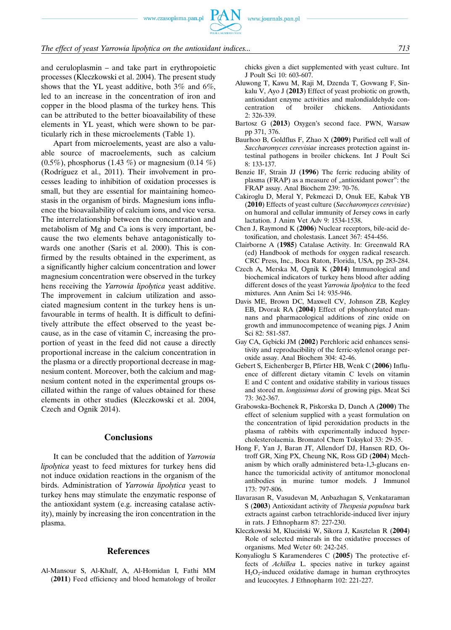www.czasopisma.pan.pl



#### *The effect of yeast Yarrowia lipolytica on the antioxidant indices... 713*

and ceruloplasmin – and take part in erythropoietic processes (Kleczkowski et al. 2004). The present study shows that the YL yeast additive, both 3% and 6%, led to an increase in the concentration of iron and copper in the blood plasma of the turkey hens. This can be attributed to the better bioavailability of these elements in YL yeast, which were shown to be particularly rich in these microelements (Table 1).

Apart from microelements, yeast are also a valuable source of macroelements, such as calcium  $(0.5\%)$ , phosphorus  $(1.43\%)$  or magnesium  $(0.14\%)$ (Rodríguez et al., 2011). Their involvement in processes leading to inhibition of oxidation processes is small, but they are essential for maintaining homeostasis in the organism of birds. Magnesium ions influence the bioavailability of calcium ions, and vice versa. The interrelationship between the concentration and metabolism of Mg and Ca ions is very important, because the two elements behave antagonistically towards one another (Saris et al. 2000). This is confirmed by the results obtained in the experiment, as a significantly higher calcium concentration and lower magnesium concentration were observed in the turkey hens receiving the *Yarrowia lipolytica* yeast additive. The improvement in calcium utilization and associated magnesium content in the turkey hens is unfavourable in terms of health. It is difficult to definitively attribute the effect observed to the yeast because, as in the case of vitamin C, increasing the proportion of yeast in the feed did not cause a directly proportional increase in the calcium concentration in the plasma or a directly proportional decrease in magnesium content. Moreover, both the calcium and magnesium content noted in the experimental groups oscillated within the range of values obtained for these elements in other studies (Kleczkowski et al. 2004, Czech and Ognik 2014).

# **Conclusions**

It can be concluded that the addition of *Yarrowia lipolytica* yeast to feed mixtures for turkey hens did not induce oxidation reactions in the organism of the birds. Administration of *Yarrowia lipolytica* yeast to turkey hens may stimulate the enzymatic response of the antioxidant system (e.g. increasing catalase activity), mainly by increasing the iron concentration in the plasma.

#### **References**

Al-Mansour S, Al-Khalf, A, Al-Homidan I, Fathi MM (**2011**) Feed efficiency and blood hematology of broiler chicks given a diet supplemented with yeast culture. Int J Poult Sci 10: 603-607.

- Aluwong T, Kawu M, Raji M, Dzenda T, Govwang F, Sinkalu V, Ayo J (**2013**) Effect of yeast probiotic on growth, antioxidant enzyme activities and malondialdehyde concentration of broiler chickens. Antioxidants 2: 326-339.
- Bartosz G (**2013**) Oxygen's second face. PWN, Warsaw pp 371, 376.
- Baurhoo B, Goldflus F, Zhao X (**2009**) Purified cell wall of *Saccharomyces cerevisiae* increases protection against intestinal pathogens in broiler chickens. Int J Poult Sci 8: 133-137.
- Benzie IF, Strain JJ (**1996**) The ferric reducing ability of plasma (FRAP) as a measure of "antioxidant power": the FRAP assay. Anal Biochem 239: 70-76.
- Cakiroglu D, Meral Y, Pekmezci D, Onuk EE, Kabak YB (**2010**) Effects of yeast culture (*Saccharomyces cerevisiae*) on humoral and cellular immunity of Jersey cows in early lactation. J Anim Vet Adv 9: 1534-1538.
- Chen J, Raymond K (**2006**) Nuclear receptors, bile-acid detoxification, and cholestasis. Lancet 367: 454-456.
- Clairborne A (**1985**) Catalase Activity. In: Greenwald RA (ed) Handbook of methods for oxygen radical research. CRC Press, Inc., Boca Raton, Florida, USA, pp 283-284.
- Czech A, Merska M, Ognik K (**2014**) Immunological and biochemical indicators of turkey hens blood after adding different doses of the yeast *Yarrowia lipolytica* to the feed mixtures. Ann Anim Sci 14: 935-946.
- Davis ME, Brown DC, Maxwell CV, Johnson ZB, Kegley EB, Dvorak RA (**2004**) Effect of phosphorylated mannans and pharmacological additions of zinc oxide on growth and immunocompetence of weaning pigs. J Anim Sci 82: 581-587.
- Gay CA, Gębicki JM (**2002**) Perchloric acid enhances sensitivity and reproducibility of the ferric-xylenol orange peroxide assay. Anal Biochem 304: 42-46.
- Gebert S, Eichenberger B, Pfirter HB, Wenk C (**2006**) Influence of different dietary vitamin C levels on vitamin E and C content and oxidative stability in various tissues and stored m. *longissimus dorsi* of growing pigs. Meat Sci 73: 362-367.
- Grabowska-Bochenek R, Piskorska D, Danch A (**2000**) The effect of selenium supplied with a yeast formulation on the concentration of lipid peroxidation products in the plasma of rabbits with experimentally induced hypercholesterolaemia. Bromatol Chem Toksykol 33: 29-35.
- Hong F, Yan J, Baran JT, Allendorf DJ, Hansen RD, Ostroff GR, Xing PX, Cheung NK, Ross GD (**2004**) Mechanism by which orally administered beta-1,3-glucans enhance the tumoricidal activity of antitumor monoclonal antibodies in murine tumor models. J Immunol 173: 797-806.
- Ilavarasan R, Vasudevan M, Anbazhagan S, Venkataraman S (**2003**) Antioxidant activity of *Thespesia populnea* bark extracts against carbon tetrachloride-induced liver injury in rats. J Ethnopharm 87: 227-230.
- Kleczkowski M, Kluciński W, Sikora J, Kasztelan R (**2004**) Role of selected minerals in the oxidative processes of organisms. Med Weter 60: 242-245.
- Konyalioglu S Karamenderes C (**2005**) The protective effects of *Achillea* L. species native in turkey against  $H_2O_2$ -induced oxidative damage in human erythrocytes and leucocytes. J Ethnopharm 102: 221-227.